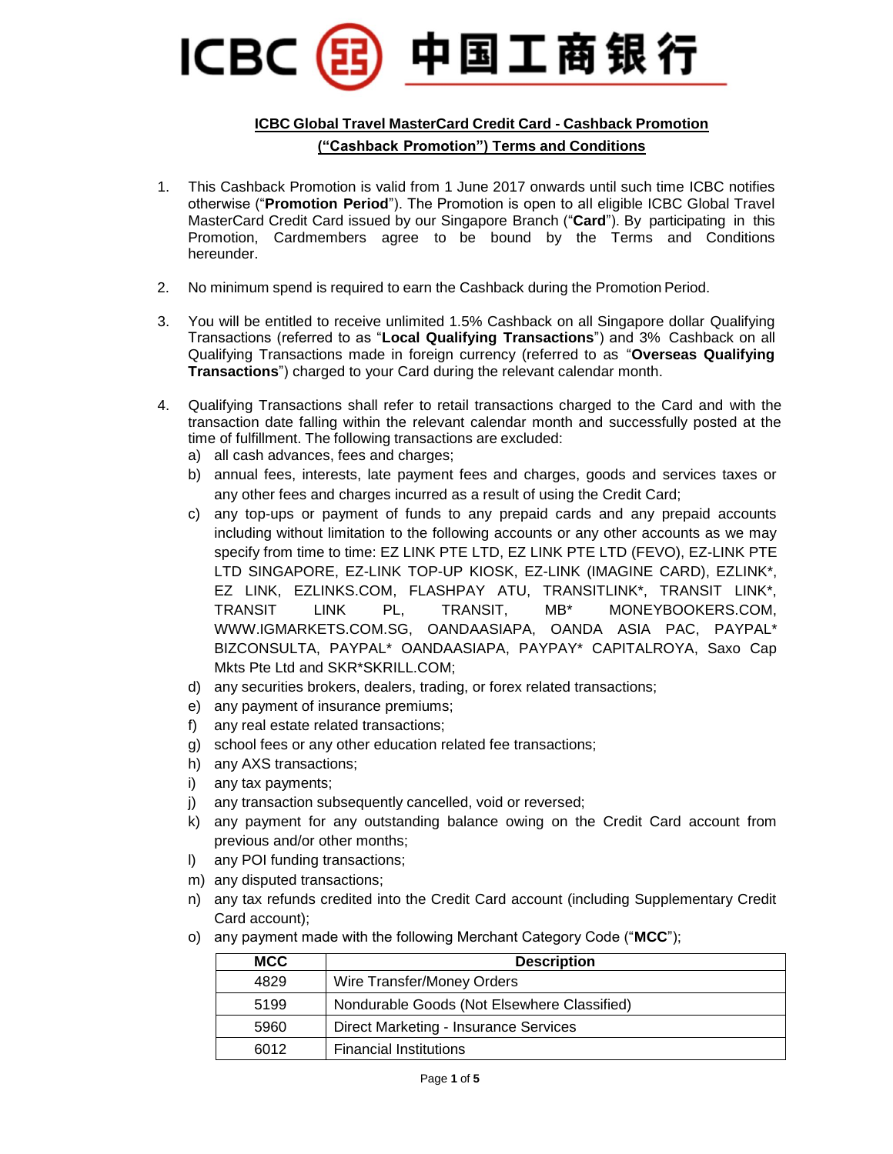## 中国工商银行 **ICBC**

## **ICBC Global Travel MasterCard Credit Card - Cashback Promotion ("Cashback Promotion") Terms and Conditions**

- 1. This Cashback Promotion is valid from 1 June 2017 onwards until such time ICBC notifies otherwise ("**Promotion Period**"). The Promotion is open to all eligible ICBC Global Travel MasterCard Credit Card issued by our Singapore Branch ("**Card**"). By participating in this Promotion, Cardmembers agree to be bound by the Terms and Conditions hereunder.
- 2. No minimum spend is required to earn the Cashback during the Promotion Period.
- 3. You will be entitled to receive unlimited 1.5% Cashback on all Singapore dollar Qualifying Transactions (referred to as "**Local Qualifying Transactions**") and 3% Cashback on all Qualifying Transactions made in foreign currency (referred to as "**Overseas Qualifying Transactions**") charged to your Card during the relevant calendar month.
- 4. Qualifying Transactions shall refer to retail transactions charged to the Card and with the transaction date falling within the relevant calendar month and successfully posted at the time of fulfillment. The following transactions are excluded:
	- a) all cash advances, fees and charges;
	- b) annual fees, interests, late payment fees and charges, goods and services taxes or any other fees and charges incurred as a result of using the Credit Card;
	- c) any top-ups or payment of funds to any prepaid cards and any prepaid accounts including without limitation to the following accounts or any other accounts as we may specify from time to time: EZ LINK PTE LTD, EZ LINK PTE LTD (FEVO), EZ-LINK PTE LTD SINGAPORE, EZ-LINK TOP-UP KIOSK, EZ-LINK (IMAGINE CARD), EZLINK\*, EZ LINK, EZLINKS.COM, FLASHPAY ATU, TRANSITLINK\*, TRANSIT LINK\*, TRANSIT LINK PL, TRANSIT, MB\* MONEYBOOKERS.COM, WWW.IGMARKETS.COM.SG, OANDAASIAPA, OANDA ASIA PAC, PAYPAL\* BIZCONSULTA, PAYPAL\* OANDAASIAPA, PAYPAY\* CAPITALROYA, Saxo Cap Mkts Pte Ltd and SKR\*SKRILL.COM;
	- d) any securities brokers, dealers, trading, or forex related transactions;
	- e) any payment of insurance premiums;
	- f) any real estate related transactions;
	- g) school fees or any other education related fee transactions;
	- h) any AXS transactions;
	- i) any tax payments;
	- j) any transaction subsequently cancelled, void or reversed;
	- k) any payment for any outstanding balance owing on the Credit Card account from previous and/or other months;
	- l) any POI funding transactions;
	- m) any disputed transactions;
	- n) any tax refunds credited into the Credit Card account (including Supplementary Credit Card account);
	- o) any payment made with the following Merchant Category Code ("**MCC**");

| <b>MCC</b> | <b>Description</b>                           |
|------------|----------------------------------------------|
| 4829       | Wire Transfer/Money Orders                   |
| 5199       | Nondurable Goods (Not Elsewhere Classified)  |
| 5960       | <b>Direct Marketing - Insurance Services</b> |
| 6012       | <b>Financial Institutions</b>                |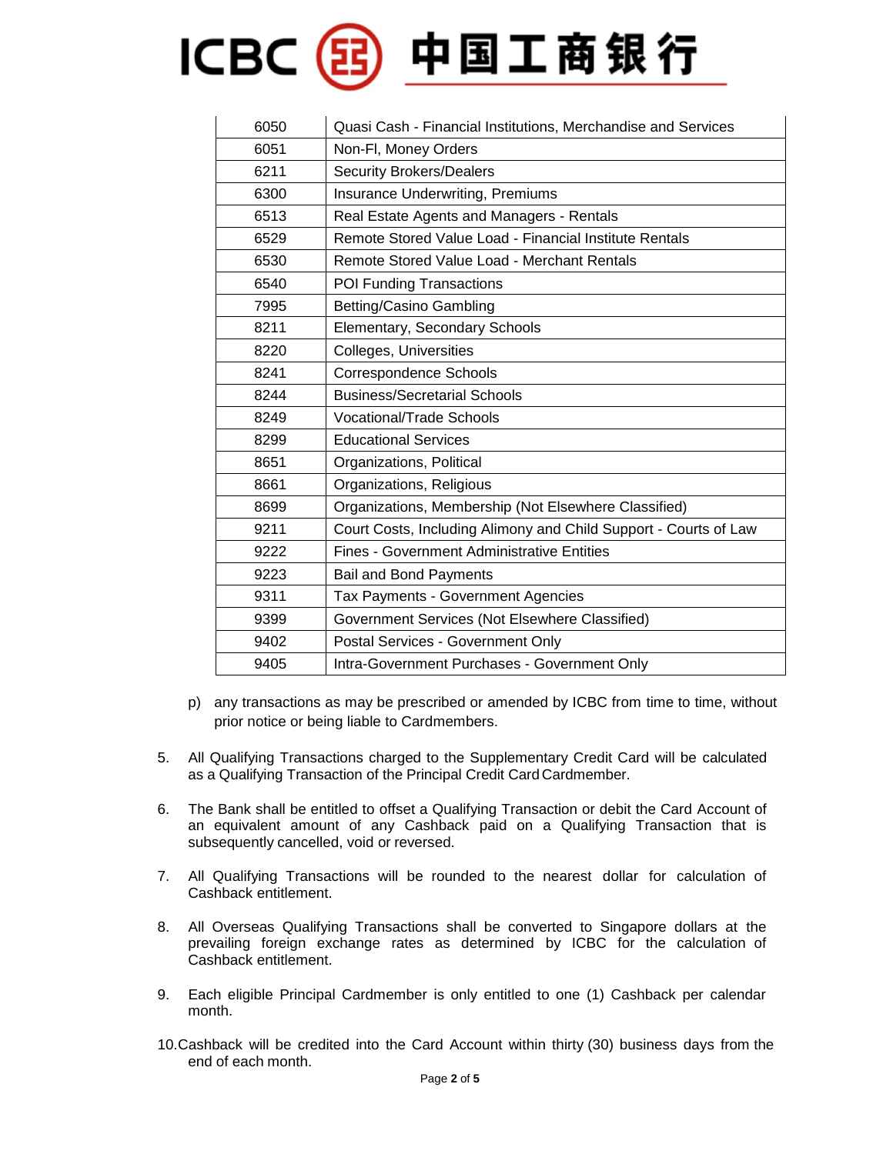## ICBC(BI)中国工商银行

| 6050 | Quasi Cash - Financial Institutions, Merchandise and Services    |
|------|------------------------------------------------------------------|
| 6051 | Non-FI, Money Orders                                             |
| 6211 | <b>Security Brokers/Dealers</b>                                  |
| 6300 | Insurance Underwriting, Premiums                                 |
| 6513 | Real Estate Agents and Managers - Rentals                        |
| 6529 | Remote Stored Value Load - Financial Institute Rentals           |
| 6530 | Remote Stored Value Load - Merchant Rentals                      |
| 6540 | POI Funding Transactions                                         |
| 7995 | Betting/Casino Gambling                                          |
| 8211 | Elementary, Secondary Schools                                    |
| 8220 | Colleges, Universities                                           |
| 8241 | <b>Correspondence Schools</b>                                    |
| 8244 | <b>Business/Secretarial Schools</b>                              |
| 8249 | <b>Vocational/Trade Schools</b>                                  |
| 8299 | <b>Educational Services</b>                                      |
| 8651 | Organizations, Political                                         |
| 8661 | Organizations, Religious                                         |
| 8699 | Organizations, Membership (Not Elsewhere Classified)             |
| 9211 | Court Costs, Including Alimony and Child Support - Courts of Law |
| 9222 | <b>Fines - Government Administrative Entities</b>                |
| 9223 | <b>Bail and Bond Payments</b>                                    |
| 9311 | <b>Tax Payments - Government Agencies</b>                        |
| 9399 | Government Services (Not Elsewhere Classified)                   |
| 9402 | Postal Services - Government Only                                |
| 9405 | Intra-Government Purchases - Government Only                     |

- p) any transactions as may be prescribed or amended by ICBC from time to time, without prior notice or being liable to Cardmembers.
- 5. All Qualifying Transactions charged to the Supplementary Credit Card will be calculated as a Qualifying Transaction of the Principal Credit Card Cardmember.
- 6. The Bank shall be entitled to offset a Qualifying Transaction or debit the Card Account of an equivalent amount of any Cashback paid on a Qualifying Transaction that is subsequently cancelled, void or reversed.
- 7. All Qualifying Transactions will be rounded to the nearest dollar for calculation of Cashback entitlement.
- 8. All Overseas Qualifying Transactions shall be converted to Singapore dollars at the prevailing foreign exchange rates as determined by ICBC for the calculation of Cashback entitlement.
- 9. Each eligible Principal Cardmember is only entitled to one (1) Cashback per calendar month.
- 10.Cashback will be credited into the Card Account within thirty (30) business days from the end of each month.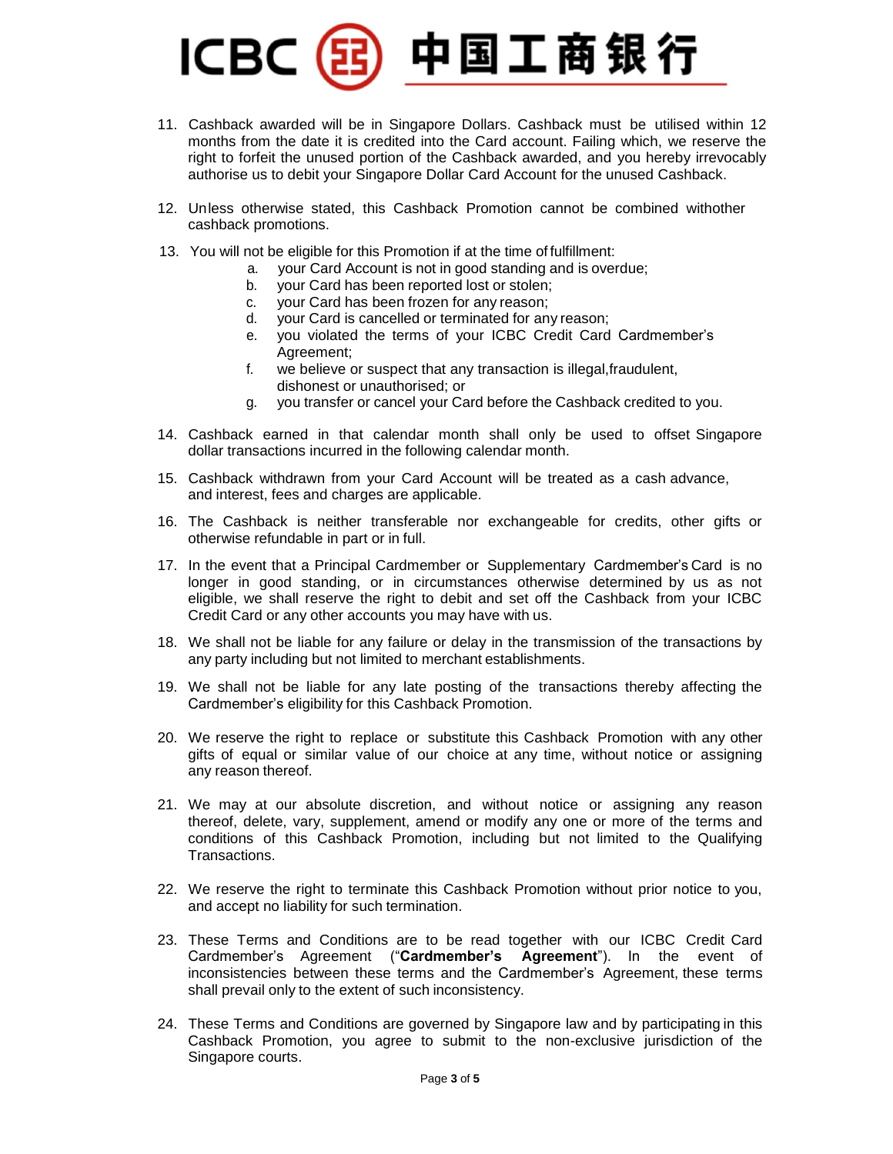## 中国工商银行 **ICBC**

- 11. Cashback awarded will be in Singapore Dollars. Cashback must be utilised within 12 months from the date it is credited into the Card account. Failing which, we reserve the right to forfeit the unused portion of the Cashback awarded, and you hereby irrevocably authorise us to debit your Singapore Dollar Card Account for the unused Cashback.
- 12. Unless otherwise stated, this Cashback Promotion cannot be combined withother cashback promotions.
- 13. You will not be eligible for this Promotion if at the time of fulfillment:
	- a. your Card Account is not in good standing and is overdue;
	- b. your Card has been reported lost or stolen;
	- c. your Card has been frozen for any reason;
	- d. your Card is cancelled or terminated for any reason;
	- e. you violated the terms of your ICBC Credit Card Cardmember's Agreement;
	- f. we believe or suspect that any transaction is illegal,fraudulent, dishonest or unauthorised; or
	- g. you transfer or cancel your Card before the Cashback credited to you.
- 14. Cashback earned in that calendar month shall only be used to offset Singapore dollar transactions incurred in the following calendar month.
- 15. Cashback withdrawn from your Card Account will be treated as a cash advance, and interest, fees and charges are applicable.
- 16. The Cashback is neither transferable nor exchangeable for credits, other gifts or otherwise refundable in part or in full.
- 17. In the event that a Principal Cardmember or Supplementary Cardmember's Card is no longer in good standing, or in circumstances otherwise determined by us as not eligible, we shall reserve the right to debit and set off the Cashback from your ICBC Credit Card or any other accounts you may have with us.
- 18. We shall not be liable for any failure or delay in the transmission of the transactions by any party including but not limited to merchant establishments.
- 19. We shall not be liable for any late posting of the transactions thereby affecting the Cardmember's eligibility for this Cashback Promotion.
- 20. We reserve the right to replace or substitute this Cashback Promotion with any other gifts of equal or similar value of our choice at any time, without notice or assigning any reason thereof.
- 21. We may at our absolute discretion, and without notice or assigning any reason thereof, delete, vary, supplement, amend or modify any one or more of the terms and conditions of this Cashback Promotion, including but not limited to the Qualifying Transactions.
- 22. We reserve the right to terminate this Cashback Promotion without prior notice to you, and accept no liability for such termination.
- 23. These Terms and Conditions are to be read together with our ICBC Credit Card Cardmember's Agreement ("**Cardmember's Agreement**"). In the event of inconsistencies between these terms and the Cardmember's Agreement, these terms shall prevail only to the extent of such inconsistency.
- 24. These Terms and Conditions are governed by Singapore law and by participating in this Cashback Promotion, you agree to submit to the non-exclusive jurisdiction of the Singapore courts.